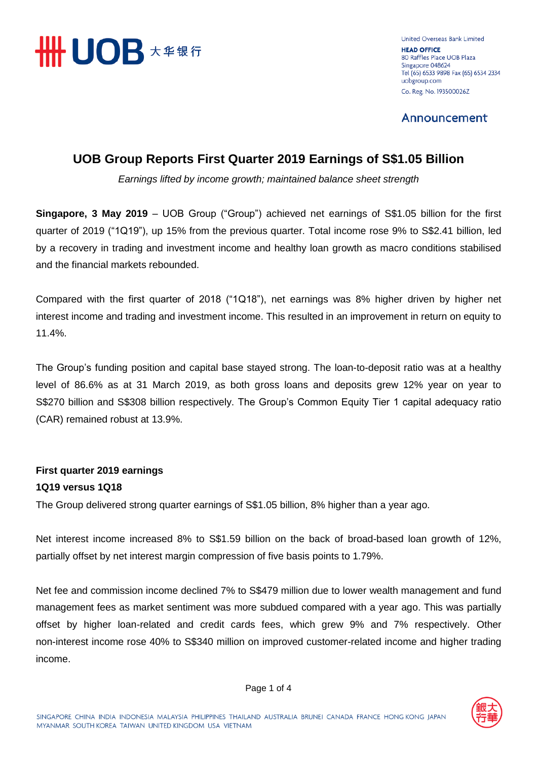

United Overseas Bank Limited **HEAD OFFICE** 80 Raffles Place UOB Plaza Singapore 048624 Tel (65) 6533 9898 Fax (65) 6534 2334 uobgroup.com Co. Reg. No. 193500026Z

Announcement

# **UOB Group Reports First Quarter 2019 Earnings of S\$1.05 Billion**

*Earnings lifted by income growth; maintained balance sheet strength* 

**Singapore, 3 May 2019** – UOB Group ("Group") achieved net earnings of S\$1.05 billion for the first quarter of 2019 ("1Q19"), up 15% from the previous quarter. Total income rose 9% to S\$2.41 billion, led by a recovery in trading and investment income and healthy loan growth as macro conditions stabilised and the financial markets rebounded.

Compared with the first quarter of 2018 ("1Q18"), net earnings was 8% higher driven by higher net interest income and trading and investment income. This resulted in an improvement in return on equity to 11.4%.

The Group's funding position and capital base stayed strong. The loan-to-deposit ratio was at a healthy level of 86.6% as at 31 March 2019, as both gross loans and deposits grew 12% year on year to S\$270 billion and S\$308 billion respectively. The Group's Common Equity Tier 1 capital adequacy ratio (CAR) remained robust at 13.9%.

## **First quarter 2019 earnings 1Q19 versus 1Q18**

The Group delivered strong quarter earnings of S\$1.05 billion, 8% higher than a year ago.

Net interest income increased 8% to S\$1.59 billion on the back of broad-based loan growth of 12%, partially offset by net interest margin compression of five basis points to 1.79%.

Net fee and commission income declined 7% to S\$479 million due to lower wealth management and fund management fees as market sentiment was more subdued compared with a year ago. This was partially offset by higher loan-related and credit cards fees, which grew 9% and 7% respectively. Other non-interest income rose 40% to S\$340 million on improved customer-related income and higher trading income.

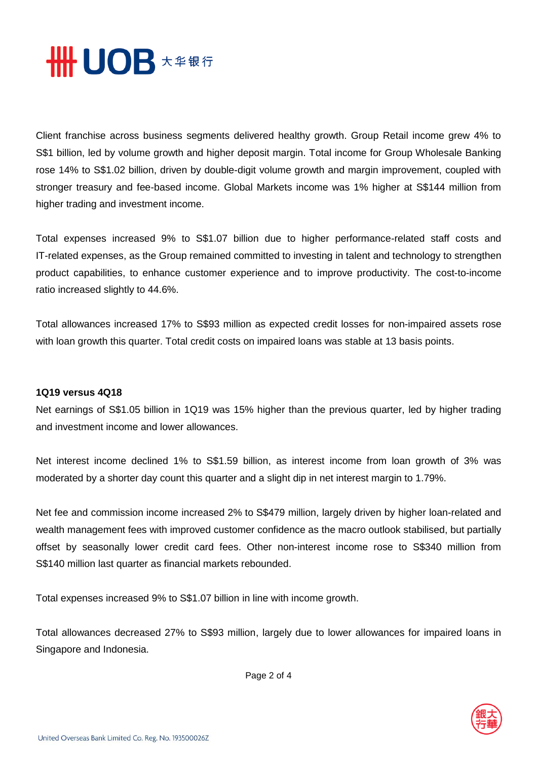

Client franchise across business segments delivered healthy growth. Group Retail income grew 4% to S\$1 billion, led by volume growth and higher deposit margin. Total income for Group Wholesale Banking rose 14% to S\$1.02 billion, driven by double-digit volume growth and margin improvement, coupled with stronger treasury and fee-based income. Global Markets income was 1% higher at S\$144 million from higher trading and investment income.

Total expenses increased 9% to S\$1.07 billion due to higher performance-related staff costs and IT-related expenses, as the Group remained committed to investing in talent and technology to strengthen product capabilities, to enhance customer experience and to improve productivity. The cost-to-income ratio increased slightly to 44.6%.

Total allowances increased 17% to S\$93 million as expected credit losses for non-impaired assets rose with loan growth this quarter. Total credit costs on impaired loans was stable at 13 basis points.

## **1Q19 versus 4Q18**

Net earnings of S\$1.05 billion in 1Q19 was 15% higher than the previous quarter, led by higher trading and investment income and lower allowances.

Net interest income declined 1% to S\$1.59 billion, as interest income from loan growth of 3% was moderated by a shorter day count this quarter and a slight dip in net interest margin to 1.79%.

Net fee and commission income increased 2% to S\$479 million, largely driven by higher loan-related and wealth management fees with improved customer confidence as the macro outlook stabilised, but partially offset by seasonally lower credit card fees. Other non-interest income rose to S\$340 million from S\$140 million last quarter as financial markets rebounded.

Total expenses increased 9% to S\$1.07 billion in line with income growth.

Total allowances decreased 27% to S\$93 million, largely due to lower allowances for impaired loans in Singapore and Indonesia.

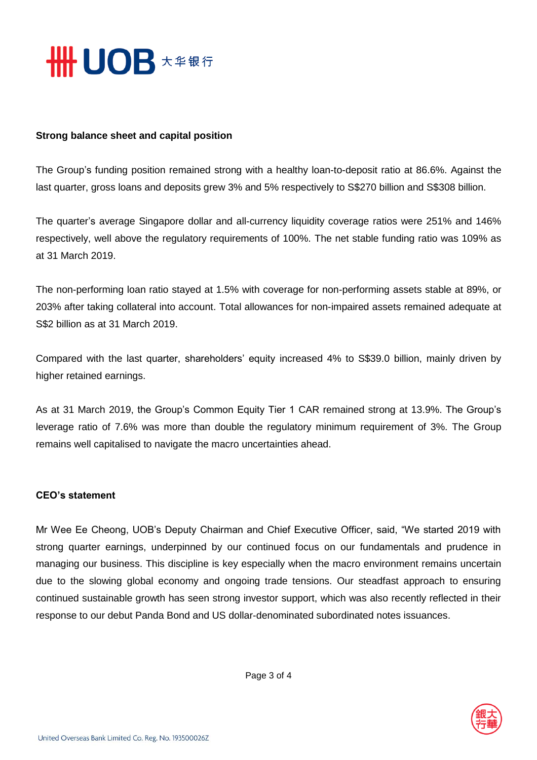

## **Strong balance sheet and capital position**

The Group's funding position remained strong with a healthy loan-to-deposit ratio at 86.6%. Against the last quarter, gross loans and deposits grew 3% and 5% respectively to S\$270 billion and S\$308 billion.

The quarter's average Singapore dollar and all-currency liquidity coverage ratios were 251% and 146% respectively, well above the regulatory requirements of 100%. The net stable funding ratio was 109% as at 31 March 2019.

The non-performing loan ratio stayed at 1.5% with coverage for non-performing assets stable at 89%, or 203% after taking collateral into account. Total allowances for non-impaired assets remained adequate at S\$2 billion as at 31 March 2019.

Compared with the last quarter, shareholders' equity increased 4% to S\$39.0 billion, mainly driven by higher retained earnings.

As at 31 March 2019, the Group's Common Equity Tier 1 CAR remained strong at 13.9%. The Group's leverage ratio of 7.6% was more than double the regulatory minimum requirement of 3%. The Group remains well capitalised to navigate the macro uncertainties ahead.

## **CEO's statement**

Mr Wee Ee Cheong, UOB's Deputy Chairman and Chief Executive Officer, said, "We started 2019 with strong quarter earnings, underpinned by our continued focus on our fundamentals and prudence in managing our business. This discipline is key especially when the macro environment remains uncertain due to the slowing global economy and ongoing trade tensions. Our steadfast approach to ensuring continued sustainable growth has seen strong investor support, which was also recently reflected in their response to our debut Panda Bond and US dollar-denominated subordinated notes issuances.